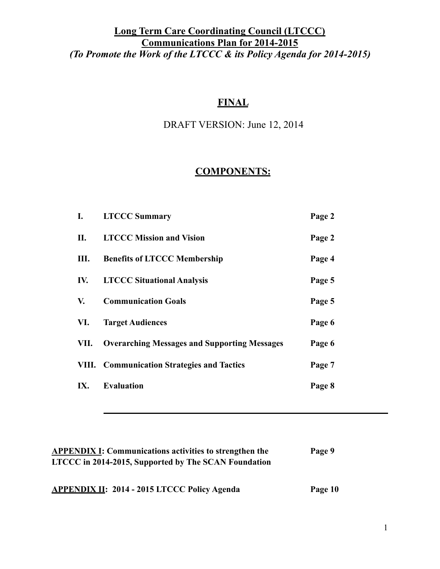### **FINAL**

## DRAFT VERSION: June 12, 2014

## **COMPONENTS:**

| I.   | <b>LTCCC Summary</b>                                | Page 2 |
|------|-----------------------------------------------------|--------|
| П.   | <b>LTCCC Mission and Vision</b>                     | Page 2 |
| Ш.   | <b>Benefits of LTCCC Membership</b>                 | Page 4 |
| IV.  | <b>LTCCC Situational Analysis</b>                   | Page 5 |
| V.   | <b>Communication Goals</b>                          | Page 5 |
| VI.  | <b>Target Audiences</b>                             | Page 6 |
| VII. | <b>Overarching Messages and Supporting Messages</b> | Page 6 |
|      | <b>VIII.</b> Communication Strategies and Tactics   | Page 7 |
| IX.  | <b>Evaluation</b>                                   | Page 8 |
|      |                                                     |        |

| <b>APPENDIX I: Communications activities to strengthen the</b> | Page 9  |
|----------------------------------------------------------------|---------|
| LTCCC in 2014-2015, Supported by The SCAN Foundation           |         |
|                                                                |         |
| <b>APPENDIX II: 2014 - 2015 LTCCC Policy Agenda</b>            | Page 10 |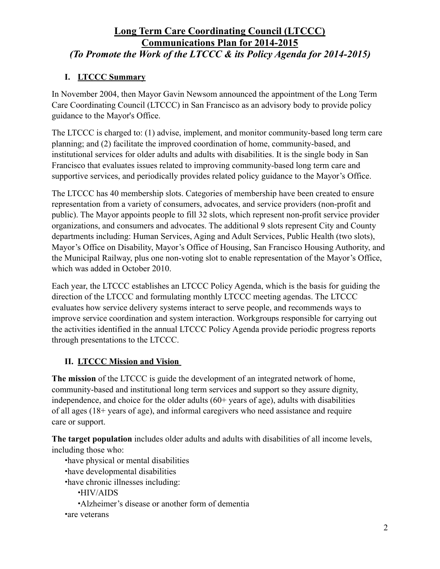### **I. LTCCC Summary**

In November 2004, then Mayor Gavin Newsom announced the appointment of the Long Term Care Coordinating Council (LTCCC) in San Francisco as an advisory body to provide policy guidance to the Mayor's Office.

The LTCCC is charged to: (1) advise, implement, and monitor community-based long term care planning; and (2) facilitate the improved coordination of home, community-based, and institutional services for older adults and adults with disabilities. It is the single body in San Francisco that evaluates issues related to improving community-based long term care and supportive services, and periodically provides related policy guidance to the Mayor's Office.

The LTCCC has 40 membership slots. Categories of membership have been created to ensure representation from a variety of consumers, advocates, and service providers (non-profit and public). The Mayor appoints people to fill 32 slots, which represent non-profit service provider organizations, and consumers and advocates. The additional 9 slots represent City and County departments including: Human Services, Aging and Adult Services, Public Health (two slots), Mayor's Office on Disability, Mayor's Office of Housing, San Francisco Housing Authority, and the Municipal Railway, plus one non-voting slot to enable representation of the Mayor's Office, which was added in October 2010.

Each year, the LTCCC establishes an LTCCC Policy Agenda, which is the basis for guiding the direction of the LTCCC and formulating monthly LTCCC meeting agendas. The LTCCC evaluates how service delivery systems interact to serve people, and recommends ways to improve service coordination and system interaction. Workgroups responsible for carrying out the activities identified in the annual LTCCC Policy Agenda provide periodic progress reports through presentations to the LTCCC.

### **II. LTCCC Mission and Vision**

**The mission** of the LTCCC is guide the development of an integrated network of home, community-based and institutional long term services and support so they assure dignity, independence, and choice for the older adults (60+ years of age), adults with disabilities of all ages (18+ years of age), and informal caregivers who need assistance and require care or support.

**The target population** includes older adults and adults with disabilities of all income levels, including those who:

•have physical or mental disabilities •have developmental disabilities •have chronic illnesses including: •HIV/AIDS •Alzheimer's disease or another form of dementia •are veterans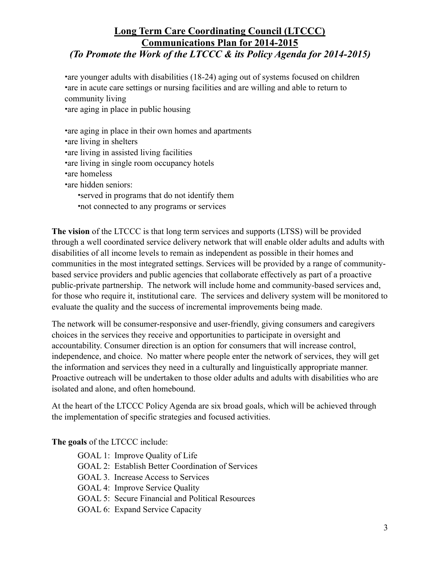•are younger adults with disabilities (18-24) aging out of systems focused on children •are in acute care settings or nursing facilities and are willing and able to return to community living •are aging in place in public housing

•are aging in place in their own homes and apartments •are living in shelters •are living in assisted living facilities •are living in single room occupancy hotels •are homeless •are hidden seniors: •served in programs that do not identify them •not connected to any programs or services

**The vision** of the LTCCC is that long term services and supports (LTSS) will be provided through a well coordinated service delivery network that will enable older adults and adults with disabilities of all income levels to remain as independent as possible in their homes and communities in the most integrated settings. Services will be provided by a range of communitybased service providers and public agencies that collaborate effectively as part of a proactive public-private partnership. The network will include home and community-based services and, for those who require it, institutional care. The services and delivery system will be monitored to evaluate the quality and the success of incremental improvements being made.

The network will be consumer-responsive and user-friendly, giving consumers and caregivers choices in the services they receive and opportunities to participate in oversight and accountability. Consumer direction is an option for consumers that will increase control, independence, and choice. No matter where people enter the network of services, they will get the information and services they need in a culturally and linguistically appropriate manner. Proactive outreach will be undertaken to those older adults and adults with disabilities who are isolated and alone, and often homebound.

At the heart of the LTCCC Policy Agenda are six broad goals, which will be achieved through the implementation of specific strategies and focused activities.

**The goals** of the LTCCC include:

GOAL 1: Improve Quality of Life GOAL 2: Establish Better Coordination of Services GOAL 3. Increase Access to Services GOAL 4: Improve Service Quality GOAL 5: Secure Financial and Political Resources GOAL 6: Expand Service Capacity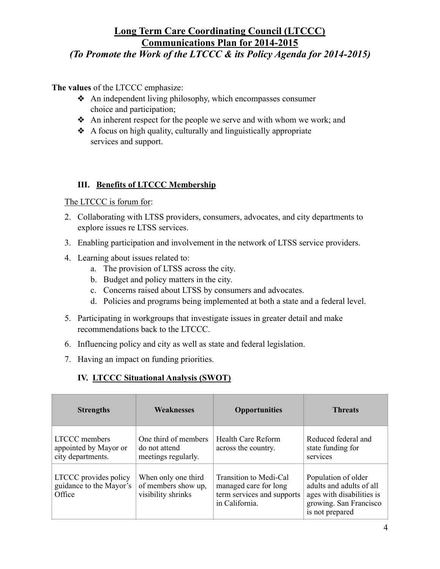*(To Promote the Work of the LTCCC & its Policy Agenda for 2014-2015)* 

**The values** of the LTCCC emphasize:

- ❖ An independent living philosophy, which encompasses consumer choice and participation;
- ❖ An inherent respect for the people we serve and with whom we work; and
- ❖ A focus on high quality, culturally and linguistically appropriate services and support.

#### **III. Benefits of LTCCC Membership**

The LTCCC is forum for:

- 2. Collaborating with LTSS providers, consumers, advocates, and city departments to explore issues re LTSS services.
- 3. Enabling participation and involvement in the network of LTSS service providers.
- 4. Learning about issues related to:
	- a. The provision of LTSS across the city.
	- b. Budget and policy matters in the city.
	- c. Concerns raised about LTSS by consumers and advocates.
	- d. Policies and programs being implemented at both a state and a federal level.
- 5. Participating in workgroups that investigate issues in greater detail and make recommendations back to the LTCCC.
- 6. Influencing policy and city as well as state and federal legislation.
- 7. Having an impact on funding priorities.

#### **IV. LTCCC Situational Analysis (SWOT)**

| <b>Strengths</b>                                            | <b>Weaknesses</b>                                                | <b>Opportunities</b>                                                                            | <b>Threats</b>                                                                                                            |
|-------------------------------------------------------------|------------------------------------------------------------------|-------------------------------------------------------------------------------------------------|---------------------------------------------------------------------------------------------------------------------------|
| LTCCC members<br>appointed by Mayor or<br>city departments. | One third of members<br>do not attend<br>meetings regularly.     | Health Care Reform<br>across the country.                                                       | Reduced federal and<br>state funding for<br>services                                                                      |
| LTCCC provides policy<br>guidance to the Mayor's<br>Office  | When only one third<br>of members show up,<br>visibility shrinks | Transition to Medi-Cal<br>managed care for long<br>term services and supports<br>in California. | Population of older<br>adults and adults of all<br>ages with disabilities is<br>growing. San Francisco<br>is not prepared |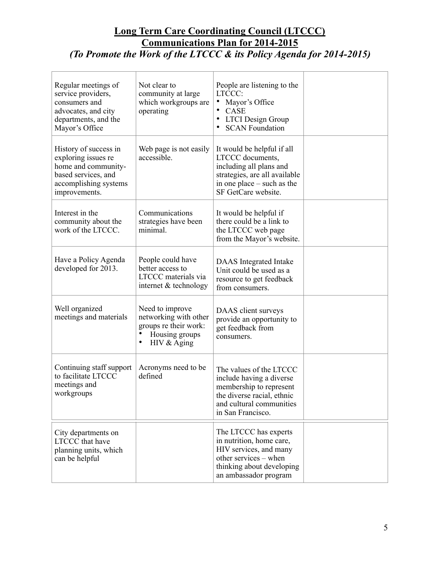| Regular meetings of<br>service providers,<br>consumers and<br>advocates, and city<br>departments, and the<br>Mayor's Office          | Not clear to<br>community at large<br>which workgroups are<br>operating                                         | People are listening to the<br>LTCCC:<br>Mayor's Office<br>CASE<br><b>LTCI</b> Design Group<br><b>SCAN Foundation</b>                                           |  |
|--------------------------------------------------------------------------------------------------------------------------------------|-----------------------------------------------------------------------------------------------------------------|-----------------------------------------------------------------------------------------------------------------------------------------------------------------|--|
| History of success in<br>exploring issues re<br>home and community-<br>based services, and<br>accomplishing systems<br>improvements. | Web page is not easily<br>accessible.                                                                           | It would be helpful if all<br>LTCCC documents,<br>including all plans and<br>strategies, are all available<br>in one place – such as the<br>SF GetCare website. |  |
| Interest in the<br>community about the<br>work of the LTCCC.                                                                         | Communications<br>strategies have been<br>minimal.                                                              | It would be helpful if<br>there could be a link to<br>the LTCCC web page<br>from the Mayor's website.                                                           |  |
| Have a Policy Agenda<br>developed for 2013.                                                                                          | People could have<br>better access to<br>LTCCC materials via<br>internet & technology                           | DAAS Integrated Intake<br>Unit could be used as a<br>resource to get feedback<br>from consumers.                                                                |  |
| Well organized<br>meetings and materials                                                                                             | Need to improve<br>networking with other<br>groups re their work:<br>Housing groups<br>$\bullet$<br>HIV & Aging | DAAS client surveys<br>provide an opportunity to<br>get feedback from<br>consumers.                                                                             |  |
| Continuing staff support<br>to facilitate LTCCC<br>meetings and<br>workgroups                                                        | Acronyms need to be<br>defined                                                                                  | The values of the LTCCC<br>include having a diverse<br>membership to represent<br>the diverse racial, ethnic<br>and cultural communities<br>in San Francisco.   |  |
| City departments on<br><b>LTCCC</b> that have<br>planning units, which<br>can be helpful                                             |                                                                                                                 | The LTCCC has experts<br>in nutrition, home care,<br>HIV services, and many<br>other services - when<br>thinking about developing<br>an ambassador program      |  |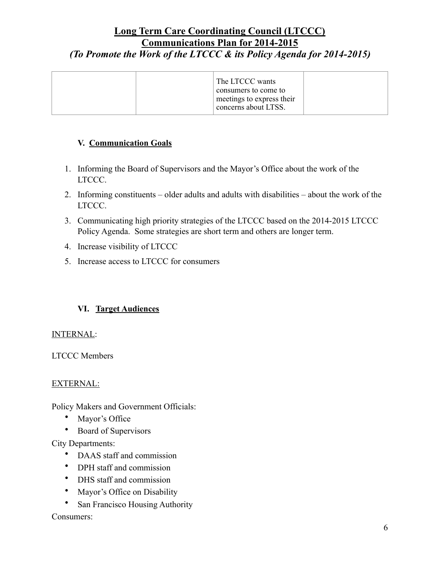#### **V. Communication Goals**

- 1. Informing the Board of Supervisors and the Mayor's Office about the work of the LTCCC.
- 2. Informing constituents older adults and adults with disabilities about the work of the LTCCC.
- 3. Communicating high priority strategies of the LTCCC based on the 2014-2015 LTCCC Policy Agenda. Some strategies are short term and others are longer term.
- 4. Increase visibility of LTCCC
- 5. Increase access to LTCCC for consumers

#### **VI. Target Audiences**

#### INTERNAL:

LTCCC Members

#### EXTERNAL:

Policy Makers and Government Officials:

- Mayor's Office
- Board of Supervisors

City Departments:

- DAAS staff and commission
- DPH staff and commission
- DHS staff and commission
- Mayor's Office on Disability
- San Francisco Housing Authority

#### Consumers: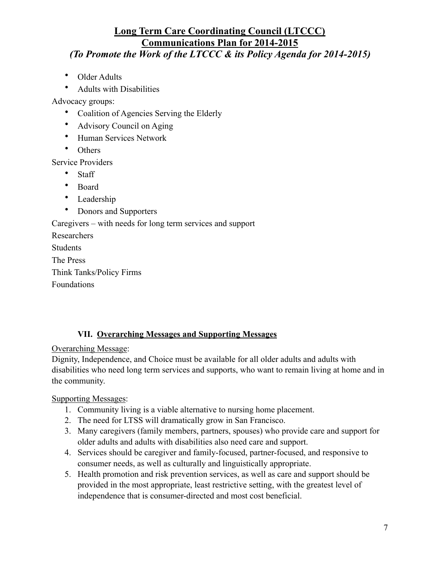*(To Promote the Work of the LTCCC & its Policy Agenda for 2014-2015)* 

- Older Adults
- Adults with Disabilities

Advocacy groups:

- Coalition of Agencies Serving the Elderly
- Advisory Council on Aging
- Human Services Network
- Others

Service Providers

- Staff
- Board
- Leadership
- Donors and Supporters

Caregivers – with needs for long term services and support

Researchers Students The Press Think Tanks/Policy Firms Foundations

### **VII. Overarching Messages and Supporting Messages**

Overarching Message:

Dignity, Independence, and Choice must be available for all older adults and adults with disabilities who need long term services and supports, who want to remain living at home and in the community.

Supporting Messages:

- 1. Community living is a viable alternative to nursing home placement.
- 2. The need for LTSS will dramatically grow in San Francisco.
- 3. Many caregivers (family members, partners, spouses) who provide care and support for older adults and adults with disabilities also need care and support.
- 4. Services should be caregiver and family-focused, partner-focused, and responsive to consumer needs, as well as culturally and linguistically appropriate.
- 5. Health promotion and risk prevention services, as well as care and support should be provided in the most appropriate, least restrictive setting, with the greatest level of independence that is consumer-directed and most cost beneficial.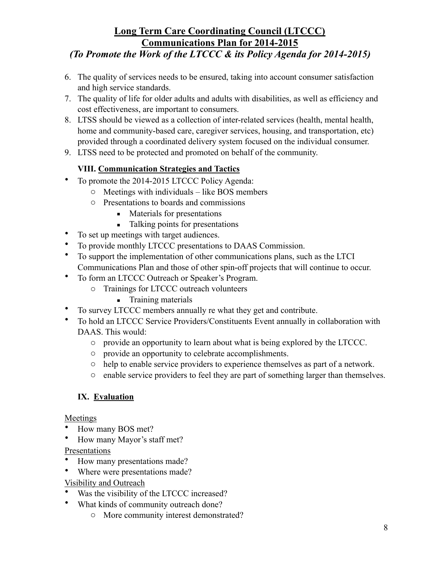## *(To Promote the Work of the LTCCC & its Policy Agenda for 2014-2015)*

- 6. The quality of services needs to be ensured, taking into account consumer satisfaction and high service standards.
- 7. The quality of life for older adults and adults with disabilities, as well as efficiency and cost effectiveness, are important to consumers.
- 8. LTSS should be viewed as a collection of inter-related services (health, mental health, home and community-based care, caregiver services, housing, and transportation, etc) provided through a coordinated delivery system focused on the individual consumer.
- 9. LTSS need to be protected and promoted on behalf of the community.

### **VIII. Communication Strategies and Tactics**

- To promote the 2014-2015 LTCCC Policy Agenda:
	- o Meetings with individuals like BOS members
	- o Presentations to boards and commissions
		- Materials for presentations
		- Talking points for presentations
- To set up meetings with target audiences.
- To provide monthly LTCCC presentations to DAAS Commission.
- To support the implementation of other communications plans, such as the LTCI Communications Plan and those of other spin-off projects that will continue to occur.
- To form an LTCCC Outreach or Speaker's Program.
	- o Trainings for LTCCC outreach volunteers
		- **•** Training materials
- To survey LTCCC members annually re what they get and contribute.
- To hold an LTCCC Service Providers/Constituents Event annually in collaboration with DAAS. This would:
	- o provide an opportunity to learn about what is being explored by the LTCCC.
	- o provide an opportunity to celebrate accomplishments.
	- o help to enable service providers to experience themselves as part of a network.
	- o enable service providers to feel they are part of something larger than themselves.

### **IX. Evaluation**

#### Meetings

- How many BOS met?
- How many Mayor's staff met?

Presentations

- How many presentations made?
- Where were presentations made?

### Visibility and Outreach

- Was the visibility of the LTCCC increased?
- What kinds of community outreach done?
	- o More community interest demonstrated?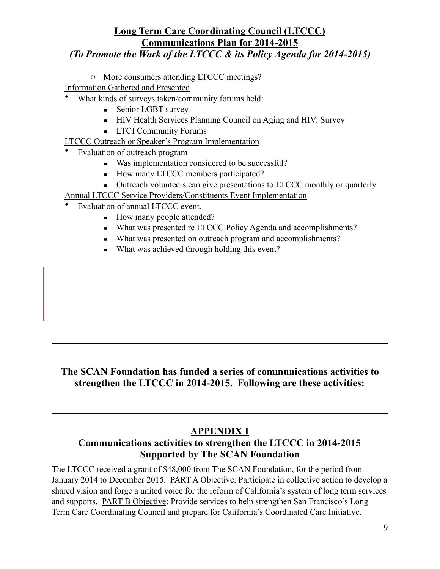## *(To Promote the Work of the LTCCC & its Policy Agenda for 2014-2015)*

o More consumers attending LTCCC meetings?

Information Gathered and Presented

- What kinds of surveys taken/community forums held:
	- **Exercise Senior LGBT survey**
	- **EXECUTE:** HIV Health Services Planning Council on Aging and HIV: Survey
	- **LTCI Community Forums**

LTCCC Outreach or Speaker's Program Implementation

- Evaluation of outreach program
	- Was implementation considered to be successful?
	- How many LTCCC members participated?
	- **•** Outreach volunteers can give presentations to LTCCC monthly or quarterly.
- Annual LTCCC Service Providers/Constituents Event Implementation
- Evaluation of annual LTCCC event.
	- How many people attended?
	- What was presented re LTCCC Policy Agenda and accomplishments?
	- What was presented on outreach program and accomplishments?
	- What was achieved through holding this event?

### **The SCAN Foundation has funded a series of communications activities to strengthen the LTCCC in 2014-2015. Following are these activities:**

### **APPENDIX I**

### **Communications activities to strengthen the LTCCC in 2014-2015 Supported by The SCAN Foundation**

The LTCCC received a grant of \$48,000 from The SCAN Foundation, for the period from January 2014 to December 2015. PART A Objective: Participate in collective action to develop a shared vision and forge a united voice for the reform of California's system of long term services and supports. PART B Objective: Provide services to help strengthen San Francisco's Long Term Care Coordinating Council and prepare for California's Coordinated Care Initiative.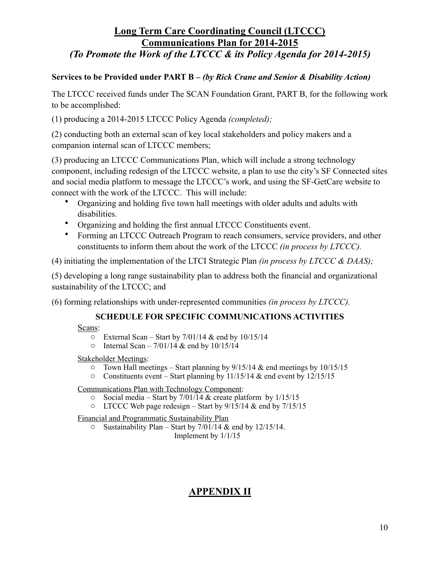#### **Services to be Provided under PART B** *– (by Rick Crane and Senior & Disability Action)*

The LTCCC received funds under The SCAN Foundation Grant, PART B, for the following work to be accomplished:

(1) producing a 2014-2015 LTCCC Policy Agenda *(completed);* 

(2) conducting both an external scan of key local stakeholders and policy makers and a companion internal scan of LTCCC members;

(3) producing an LTCCC Communications Plan, which will include a strong technology component, including redesign of the LTCCC website, a plan to use the city's SF Connected sites and social media platform to message the LTCCC's work, and using the SF-GetCare website to connect with the work of the LTCCC. This will include:

- Organizing and holding five town hall meetings with older adults and adults with disabilities.
- Organizing and holding the first annual LTCCC Constituents event.
- Forming an LTCCC Outreach Program to reach consumers, service providers, and other constituents to inform them about the work of the LTCCC *(in process by LTCCC).*

(4) initiating the implementation of the LTCI Strategic Plan *(in process by LTCCC & DAAS);*

(5) developing a long range sustainability plan to address both the financial and organizational sustainability of the LTCCC; and

(6) forming relationships with under-represented communities *(in process by LTCCC).* 

#### **SCHEDULE FOR SPECIFIC COMMUNICATIONS ACTIVITIES**

Scans:

- $\circ$  External Scan Start by 7/01/14 & end by 10/15/14
- $\circ$  Internal Scan 7/01/14 & end by 10/15/14

Stakeholder Meetings:

- $\circ$  Town Hall meetings Start planning by 9/15/14 & end meetings by 10/15/15
- o Constituents event Start planning by 11/15/14 & end event by 12/15/15

Communications Plan with Technology Component:

- $\circ$  Social media Start by 7/01/14 & create platform by 1/15/15
- o LTCCC Web page redesign Start by 9/15/14 & end by 7/15/15

Financial and Programmatic Sustainability Plan

 $\circ$  Sustainability Plan – Start by 7/01/14 & end by 12/15/14.

Implement by 1/1/15

# **APPENDIX II**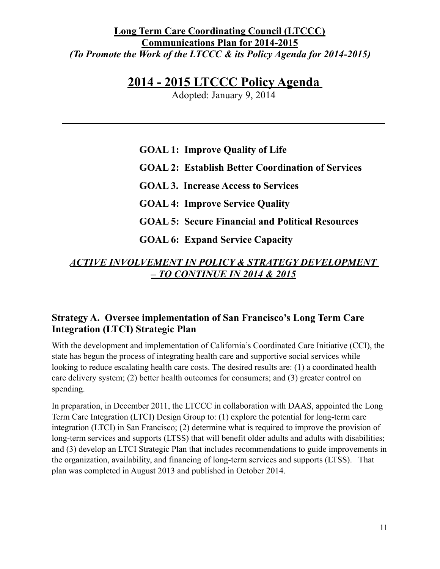# **2014 - 2015 LTCCC Policy Agenda**

Adopted: January 9, 2014

**GOAL 1: Improve Quality of Life GOAL 2: Establish Better Coordination of Services GOAL 3. Increase Access to Services GOAL 4: Improve Service Quality GOAL 5: Secure Financial and Political Resources GOAL 6: Expand Service Capacity**

## *ACTIVE INVOLVEMENT IN POLICY & STRATEGY DEVELOPMENT – TO CONTINUE IN 2014 & 2015*

## **Strategy A. Oversee implementation of San Francisco's Long Term Care Integration (LTCI) Strategic Plan**

With the development and implementation of California's Coordinated Care Initiative (CCI), the state has begun the process of integrating health care and supportive social services while looking to reduce escalating health care costs. The desired results are: (1) a coordinated health care delivery system; (2) better health outcomes for consumers; and (3) greater control on spending.

In preparation, in December 2011, the LTCCC in collaboration with DAAS, appointed the Long Term Care Integration (LTCI) Design Group to: (1) explore the potential for long-term care integration (LTCI) in San Francisco; (2) determine what is required to improve the provision of long-term services and supports (LTSS) that will benefit older adults and adults with disabilities; and (3) develop an LTCI Strategic Plan that includes recommendations to guide improvements in the organization, availability, and financing of long-term services and supports (LTSS). That plan was completed in August 2013 and published in October 2014.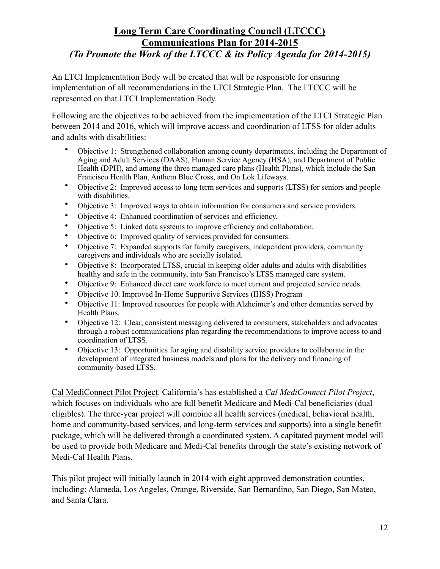An LTCI Implementation Body will be created that will be responsible for ensuring implementation of all recommendations in the LTCI Strategic Plan. The LTCCC will be represented on that LTCI Implementation Body.

Following are the objectives to be achieved from the implementation of the LTCI Strategic Plan between 2014 and 2016, which will improve access and coordination of LTSS for older adults and adults with disabilities:

- Objective 1: Strengthened collaboration among county departments, including the Department of Aging and Adult Services (DAAS), Human Service Agency (HSA), and Department of Public Health (DPH), and among the three managed care plans (Health Plans), which include the San Francisco Health Plan, Anthem Blue Cross, and On Lok Lifeways.
- Objective 2: Improved access to long term services and supports (LTSS) for seniors and people with disabilities.
- Objective 3: Improved ways to obtain information for consumers and service providers.
- Objective 4: Enhanced coordination of services and efficiency.
- Objective 5: Linked data systems to improve efficiency and collaboration.
- Objective 6: Improved quality of services provided for consumers.
- Objective 7: Expanded supports for family caregivers, independent providers, community caregivers and individuals who are socially isolated.
- Objective 8: Incorporated LTSS, crucial in keeping older adults and adults with disabilities healthy and safe in the community, into San Francisco's LTSS managed care system.
- Objective 9: Enhanced direct care workforce to meet current and projected service needs.
- Objective 10. Improved In-Home Supportive Services (IHSS) Program
- Objective 11: Improved resources for people with Alzheimer's and other dementias served by Health Plans.
- Objective 12: Clear, consistent messaging delivered to consumers, stakeholders and advocates through a robust communications plan regarding the recommendations to improve access to and coordination of LTSS.
- Objective 13: Opportunities for aging and disability service providers to collaborate in the development of integrated business models and plans for the delivery and financing of community-based LTSS.

Cal MediConnect Pilot Project. California's has established a *Cal MediConnect Pilot Project*, which focuses on individuals who are full benefit Medicare and Medi-Cal beneficiaries (dual eligibles). The three-year project will combine all health services (medical, behavioral health, home and community-based services, and long-term services and supports) into a single benefit package, which will be delivered through a coordinated system. A capitated payment model will be used to provide both Medicare and Medi-Cal benefits through the state's existing network of Medi-Cal Health Plans.

This pilot project will initially launch in 2014 with eight approved demonstration counties, including: Alameda, Los Angeles, Orange, Riverside, San Bernardino, San Diego, San Mateo, and Santa Clara.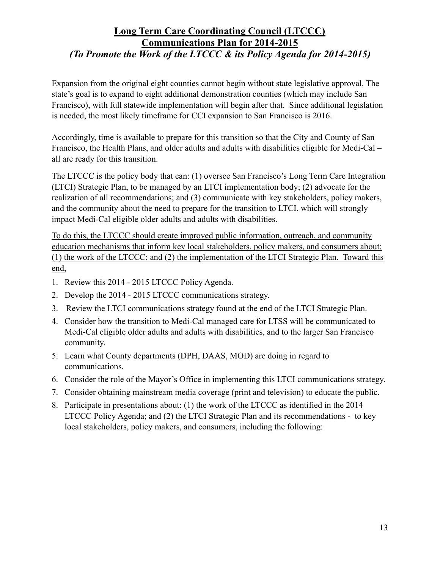Expansion from the original eight counties cannot begin without state legislative approval. The state's goal is to expand to eight additional demonstration counties (which may include San Francisco), with full statewide implementation will begin after that. Since additional legislation is needed, the most likely timeframe for CCI expansion to San Francisco is 2016.

Accordingly, time is available to prepare for this transition so that the City and County of San Francisco, the Health Plans, and older adults and adults with disabilities eligible for Medi-Cal – all are ready for this transition.

The LTCCC is the policy body that can: (1) oversee San Francisco's Long Term Care Integration (LTCI) Strategic Plan, to be managed by an LTCI implementation body; (2) advocate for the realization of all recommendations; and (3) communicate with key stakeholders, policy makers, and the community about the need to prepare for the transition to LTCI, which will strongly impact Medi-Cal eligible older adults and adults with disabilities.

To do this, the LTCCC should create improved public information, outreach, and community education mechanisms that inform key local stakeholders, policy makers, and consumers about: (1) the work of the LTCCC; and (2) the implementation of the LTCI Strategic Plan. Toward this end,

- 1. Review this 2014 2015 LTCCC Policy Agenda.
- 2. Develop the 2014 2015 LTCCC communications strategy.
- 3. Review the LTCI communications strategy found at the end of the LTCI Strategic Plan.
- 4. Consider how the transition to Medi-Cal managed care for LTSS will be communicated to Medi-Cal eligible older adults and adults with disabilities, and to the larger San Francisco community.
- 5. Learn what County departments (DPH, DAAS, MOD) are doing in regard to communications.
- 6. Consider the role of the Mayor's Office in implementing this LTCI communications strategy.
- 7. Consider obtaining mainstream media coverage (print and television) to educate the public.
- 8. Participate in presentations about: (1) the work of the LTCCC as identified in the 2014 LTCCC Policy Agenda; and (2) the LTCI Strategic Plan and its recommendations - to key local stakeholders, policy makers, and consumers, including the following: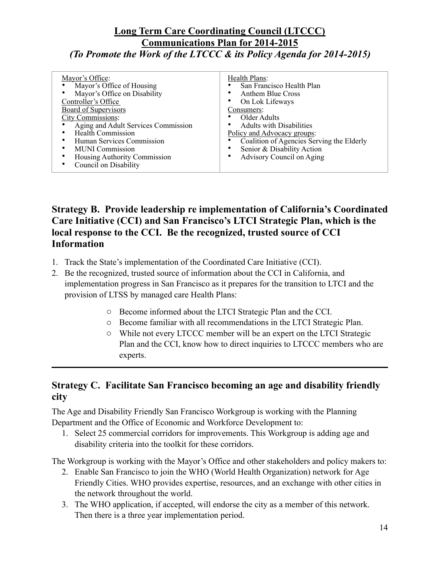| Mayor's Office:                     | Health Plans:                             |  |  |
|-------------------------------------|-------------------------------------------|--|--|
| Mayor's Office of Housing           | San Francisco Health Plan                 |  |  |
| Mayor's Office on Disability        | <b>Anthem Blue Cross</b>                  |  |  |
| Controller's Office                 | On Lok Lifeways                           |  |  |
| Board of Supervisors                | Consumers:                                |  |  |
| <b>City Commissions:</b>            | Older Adults                              |  |  |
| Aging and Adult Services Commission | <b>Adults with Disabilities</b>           |  |  |
| <b>Health Commission</b>            | Policy and Advocacy groups:               |  |  |
| Human Services Commission           | Coalition of Agencies Serving the Elderly |  |  |
| <b>MUNI Commission</b>              | Senior & Disability Action                |  |  |
| Housing Authority Commission        | Advisory Council on Aging                 |  |  |
| Council on Disability               |                                           |  |  |
|                                     |                                           |  |  |

### **Strategy B. Provide leadership re implementation of California's Coordinated Care Initiative (CCI) and San Francisco's LTCI Strategic Plan, which is the local response to the CCI. Be the recognized, trusted source of CCI Information**

- 1. Track the State's implementation of the Coordinated Care Initiative (CCI).
- 2. Be the recognized, trusted source of information about the CCI in California, and implementation progress in San Francisco as it prepares for the transition to LTCI and the provision of LTSS by managed care Health Plans:
	- o Become informed about the LTCI Strategic Plan and the CCI.
	- o Become familiar with all recommendations in the LTCI Strategic Plan.
	- o While not every LTCCC member will be an expert on the LTCI Strategic Plan and the CCI, know how to direct inquiries to LTCCC members who are experts.

### **Strategy C. Facilitate San Francisco becoming an age and disability friendly city**

The Age and Disability Friendly San Francisco Workgroup is working with the Planning Department and the Office of Economic and Workforce Development to:

1. Select 25 commercial corridors for improvements. This Workgroup is adding age and disability criteria into the toolkit for these corridors.

The Workgroup is working with the Mayor's Office and other stakeholders and policy makers to:

- 2. Enable San Francisco to join the WHO (World Health Organization) network for Age Friendly Cities. WHO provides expertise, resources, and an exchange with other cities in the network throughout the world.
- 3. The WHO application, if accepted, will endorse the city as a member of this network. Then there is a three year implementation period.